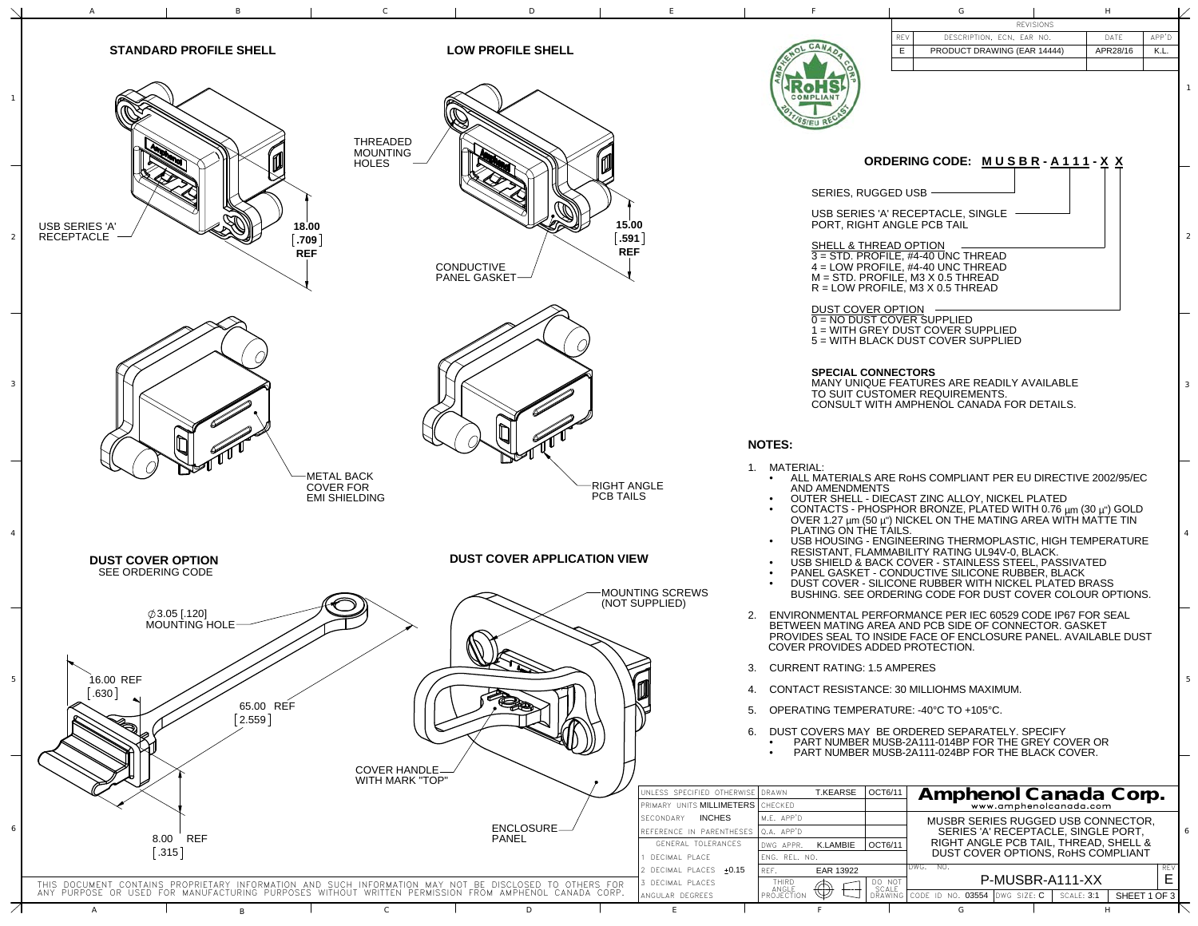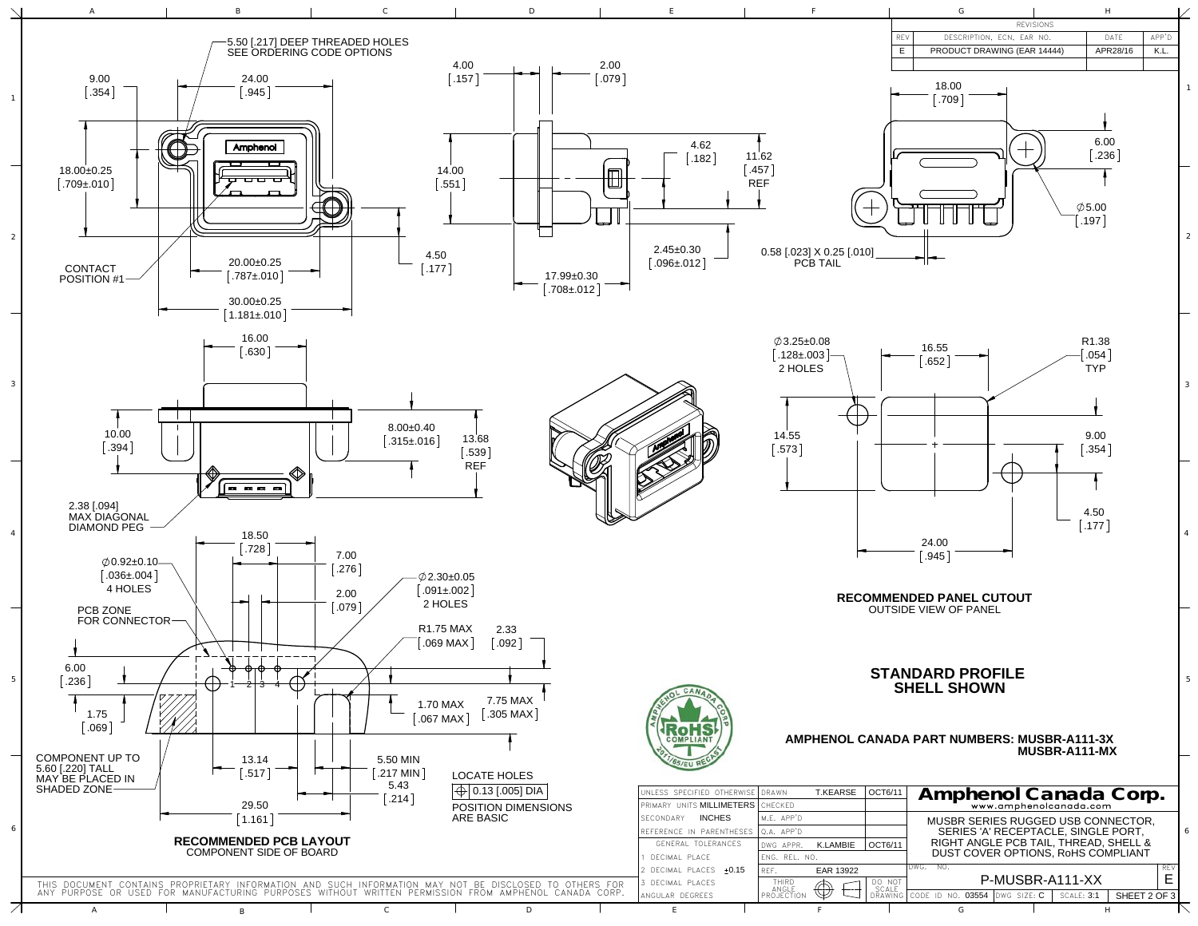